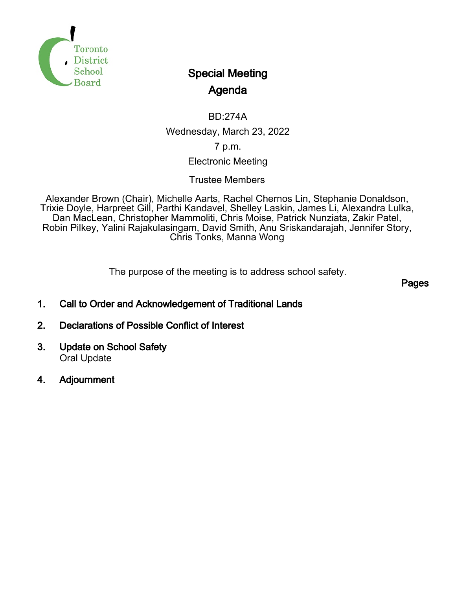

# Special Meeting Agenda

BD:274A Wednesday, March 23, 2022 7 p.m.

# Electronic Meeting

Trustee Members

Alexander Brown (Chair), Michelle Aarts, Rachel Chernos Lin, Stephanie Donaldson, Trixie Doyle, Harpreet Gill, Parthi Kandavel, Shelley Laskin, James Li, Alexandra Lulka, Dan MacLean, Christopher Mammoliti, Chris Moise, Patrick Nunziata, Zakir Patel, Robin Pilkey, Yalini Rajakulasingam, David Smith, Anu Sriskandarajah, Jennifer Story, Chris Tonks, Manna Wong

The purpose of the meeting is to address school safety.

Pages

- 1. Call to Order and Acknowledgement of Traditional Lands
- 2. Declarations of Possible Conflict of Interest
- 3. Update on School Safety Oral Update
- 4. Adjournment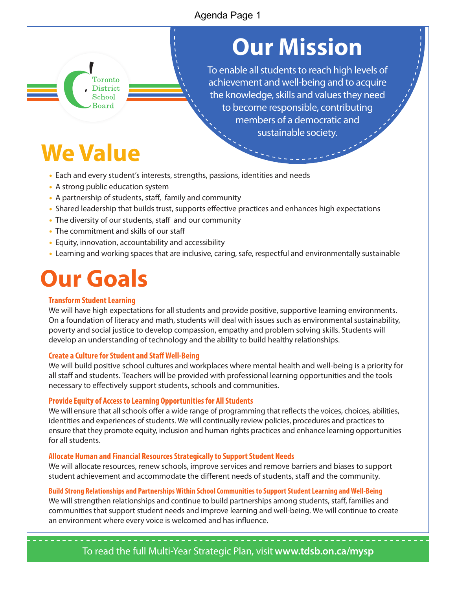# Agenda Page 1

# **Our Mission**

To enable all students to reach high levels of achievement and well-being and to acquire the knowledge, skills and values they need to become responsible, contributing members of a democratic and sustainable society.

# **We Value**

- Each and every student's interests, strengths, passions, identities and needs
- A strong public education system

Toronto **District** School Board

- A partnership of students, staff, family and community
- Shared leadership that builds trust, supports effective practices and enhances high expectations
- The diversity of our students, staff and our community
- The commitment and skills of our staff
- Equity, innovation, accountability and accessibility
- Learning and working spaces that are inclusive, caring, safe, respectful and environmentally sustainable

# **Our Goals**

#### **Transform Student Learning**

We will have high expectations for all students and provide positive, supportive learning environments. On a foundation of literacy and math, students will deal with issues such as environmental sustainability, poverty and social justice to develop compassion, empathy and problem solving skills. Students will develop an understanding of technology and the ability to build healthy relationships.

#### **Create a Culture for Student and Staff Well-Being**

We will build positive school cultures and workplaces where mental health and well-being is a priority for all staff and students. Teachers will be provided with professional learning opportunities and the tools necessary to effectively support students, schools and communities.

#### **Provide Equity of Access to Learning Opportunities for All Students**

We will ensure that all schools offer a wide range of programming that reflects the voices, choices, abilities, identities and experiences of students. We will continually review policies, procedures and practices to ensure that they promote equity, inclusion and human rights practices and enhance learning opportunities for all students.

#### **Allocate Human and Financial Resources Strategically to Support Student Needs**

We will allocate resources, renew schools, improve services and remove barriers and biases to support student achievement and accommodate the different needs of students, staff and the community.

#### **Build Strong Relationships and Partnerships Within School Communities to Support Student Learning and Well-Being**

We will strengthen relationships and continue to build partnerships among students, staff, families and communities that support student needs and improve learning and well-being. We will continue to create an environment where every voice is welcomed and has influence.

To read the full Multi-Year Strategic Plan, visit **www.tdsb.on.ca/mysp**